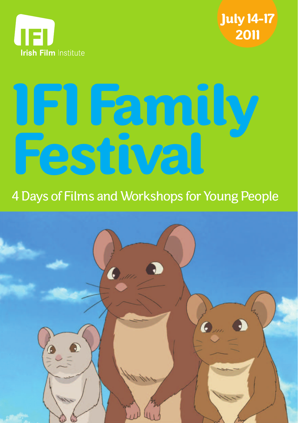



# **IFI Family Festival**

# 4 Days of Films and Workshops for Young People

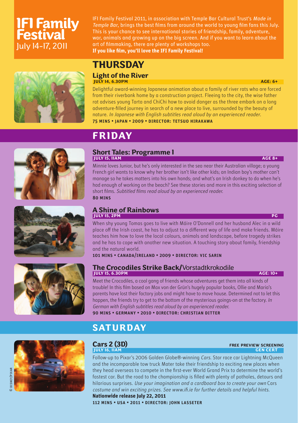# **IFI Family Festival** July 14-17, 2011

IFI Family Festival 2011, in association with Temple Bar Cultural Trust's Made in Temple Bar, brings the best films from around the world to young film fans this July. This is your chance to see international stories of friendship, family, adventure, war, animals and growing up on the big screen. And if you want to learn about the art of filmmaking, there are plenty of workshops too. If you like film, you'll love the IFI Family Festival!



# **THURSDAY**

#### **Light of the River IULY 14, 6.30PM AGE: 6+**

**FRIDAY**

Delightful award-winning Japanese animation about a family of river rats who are forced from their riverbank home by a construction project. Fleeing to the city, the wise father rat advises young Tarta and ChiChi how to avoid danger as the three embark on a long adventure-fi lled journey in search of a new place to live, surrounded by the beauty of nature. In Japanese with English subtitles read aloud by an experienced reader. 75 mins • japan • 2009 • director: tetsuo hirakawa







# **Short Tales: Programme 1 JULY 15, 11AM AGE 8+**

Minnie loves Junior, but he's only interested in the sea near their Australian village; a young French girl wants to know why her brother isn't like other kids; an Indian boy's mother can't manage so he takes matters into his own hands; and what's an Irish donkey to do when he's had enough of working on the beach? See these stories and more in this exciting selection of short films. Subtitled films read aloud by an experienced reader. 80 mins

#### **A Shine of Rainbows TULY 15, 2PM PG**

When shy young Tomas goes to live with Máire O'Donnell and her husband Alec in a wild place off the Irish coast, he has to adjust to a different way of life and make friends. Máire teaches him how to love the local colours, animals and landscape, before tragedy strikes and he has to cope with another new situation. A touching story about family, friendship and the natural world.

101 mins • canada/ireland • 2009 • director: vic sarin

#### **The Crocodiles Strike Back/**Vorstadtkrokodile **ISON AGE: 10+** AGE: 10+

Meet the Crocodiles, a cool gang of friends whose adventures get them into all kinds of trouble! In this film based on Max von der Grün's hugely popular books, Ollie and Maria's parents have lost their factory jobs and might have to move house. Determined not to let this happen, the friends try to get to the bottom of the mysterious goings-on at the factory. In German with English subtitles read aloud by an experienced reader. 90 mins • germany • 2010 • director: christian ditter

## **SATURDAY**



#### **Cars 2 (3D)**<br><u>FREE PREVIEW SCREENING</u><br>
INLY 16, IIAM **JULY 16, 11AM**

Follow-up to Pixar's 2006 Golden Globe®-winning Cars. Star race car Lightning McQueen and the incomparable tow truck Mater take their friendship to exciting new places when they head overseas to compete in the first-ever World Grand Prix to determine the world's fastest car. But the road to the championship is filled with plenty of potholes, detours and hilarious surprises. Use your imagination and a cardboard box to create your own Cars costume and win exciting prizes. See www.ifi.ie for further details and helpful hints.

**Nationwide release July 22, 2011**  112 mins • usa • 2011 • director: john lasseter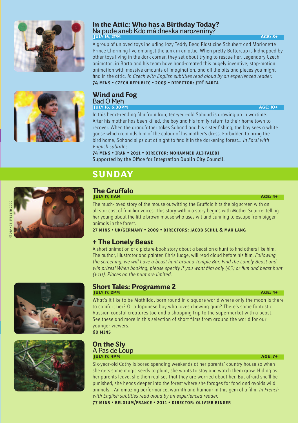

#### **In the Attic: Who has a Birthday Today?**  Na pude aneb Kdo má dneska narozeniny? **IULY 16, 2PM** AGE: 8+

A group of unloved toys including lazy Teddy Bear, Plasticine Schubert and Marionette Prince Charming live amongst the junk in an attic. When pretty Buttercup is kidnapped by other toys living in the dark corner, they set about trying to rescue her. Legendary Czech animator Jirí Barta and his team have hand-created this hugely inventive, stop-motion animation with massive amounts of imagination, and all the bits and pieces you might find in the attic. In Czech with English subtitles read aloud by an experienced reader. 74 mins • czech republic • 2009 • director: jirí barta



### **Wind and Fog**<br>Bad O Meh Bad O Meh **JULY 16, 6.30PM AGE: 10+**

In this heart-rending film from Iran, ten-year-old Sahand is growing up in wartime. After his mother has been killed, the boy and his family return to their home town to recover. When the grandfather takes Sahand and his sister fishing, the boy sees a white goose which reminds him of the colour of his mother's dress. Forbidden to bring the bird home, Sahand slips out at night to find it in the darkening forest... In Farsi with English subtitles.

74 mins • iran • 2011 • director: mohammed ali-talebi Supported by the Office for Integration Dublin City Council.

© orange eyes ltd 2009

# **SUNDAY**

#### **The Gruffalo JULY 17, 11AM AGE: 4+**

The much-loved story of the mouse outwitting the Gruffalo hits the big screen with an all-star cast of familiar voices. This story within a story begins with Mother Squirrel telling her young about the little brown mouse who uses wit and cunning to escape from bigger animals in the forest.

27 mins • uk/germany • 2009 • directors: jacob schul & max lang

#### **+ The Lonely Beast**

A short animation of a picture-book story about a beast on a hunt to find others like him. The author, illustrator and painter, Chris Judge, will read aloud before his film. Following the screening, we will have a beast hunt around Temple Bar. Find the Lonely Beast and win prizes! When booking, please specify if you want film only  $(\epsilon 5)$  or film and beast hunt (€10). Places on the hunt are limited.





#### **Short Tales: Programme 2 JULY 17, 2PM** AGE: 4+

What's it like to be Mathilda, born round in a square world where only the moon is there to comfort her? Or a Japanese boy who loves chewing gum? There's some fantastic Russian coastal creatures too and a shopping trip to the supermarket with a beast. See these and more in this selection of short films from around the world for our younger viewers.

60 mins

#### **On the Sly** A Pas de Loup **IULY 17, 4PM AGE: 7+**

Six-year-old Cathy is bored spending weekends at her parents' country house so when she gets some magic seeds to plant, she wants to stay and watch them grow. Hiding as her parents leave, she then realises that they are worried about her. But afraid she'll be punished, she heads deeper into the forest where she forages for food and avoids wild animals... An amazing performance, warmth and humour in this gem of a film. In French with English subtitles read aloud by an experienced reader.

77 mins • belgium/france • 2011 • director: olivier ringer